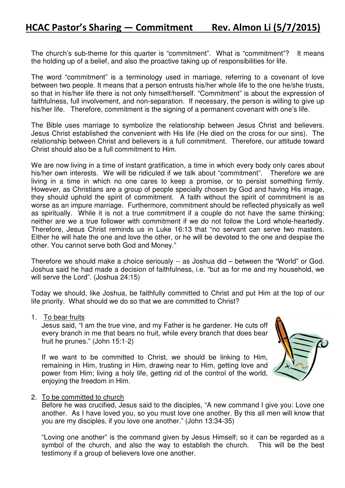The church's sub-theme for this quarter is "commitment". What is "commitment"? It means the holding up of a belief, and also the proactive taking up of responsibilities for life.

The word "commitment" is a terminology used in marriage, referring to a covenant of love between two people. It means that a person entrusts his/her whole life to the one he/she trusts, so that in his/her life there is not only himself/herself. "Commitment" is about the expression of faithfulness, full involvement, and non-separation. If necessary, the person is willing to give up his/her life. Therefore, commitment is the signing of a permanent covenant with one's life.

The Bible uses marriage to symbolize the relationship between Jesus Christ and believers. Jesus Christ established the convenient with His life (He died on the cross for our sins). The relationship between Christ and believers is a full commitment. Therefore, our attitude toward Christ should also be a full commitment to Him.

We are now living in a time of instant gratification, a time in which every body only cares about his/her own interests. We will be ridiculed if we talk about "commitment". Therefore we are living in a time in which no one cares to keep a promise, or to persist something firmly. However, as Christians are a group of people specially chosen by God and having His image, they should uphold the spirit of commitment. A faith without the spirit of commitment is as worse as an impure marriage. Furthermore, commitment should be reflected physically as well as spiritually. While it is not a true commitment if a couple do not have the same thinking; neither are we a true follower with commitment if we do not follow the Lord whole-heartedly. Therefore, Jesus Christ reminds us in Luke 16:13 that "no servant can serve two masters. Either he will hate the one and love the other, or he will be devoted to the one and despise the other. You cannot serve both God and Money."

Therefore we should make a choice seriously -- as Joshua did – between the "World" or God. Joshua said he had made a decision of faithfulness, i.e. "but as for me and my household, we will serve the Lord". (Joshua 24:15)

Today we should, like Joshua, be faithfully committed to Christ and put Him at the top of our life priority. What should we do so that we are committed to Christ?

1. To bear fruits

Jesus said, "I am the true vine, and my Father is he gardener. He cuts off every branch in me that bears no fruit, while every branch that does bear fruit he prunes." (John 15:1-2)

If we want to be committed to Christ, we should be linking to Him, remaining in Him, trusting in Him, drawing near to Him, getting love and power from Him; living a holy life, getting rid of the control of the world, enjoying the freedom in Him.



## 2. To be committed to church

Before he was crucified, Jesus said to the disciples, "A new command I give you: Love one another. As I have loved you, so you must love one another. By this all men will know that you are my disciples, if you love one another." (John 13:34-35)

"Loving one another" is the command given by Jesus Himself; so it can be regarded as a symbol of the church, and also the way to establish the church. This will be the best testimony if a group of believers love one another.